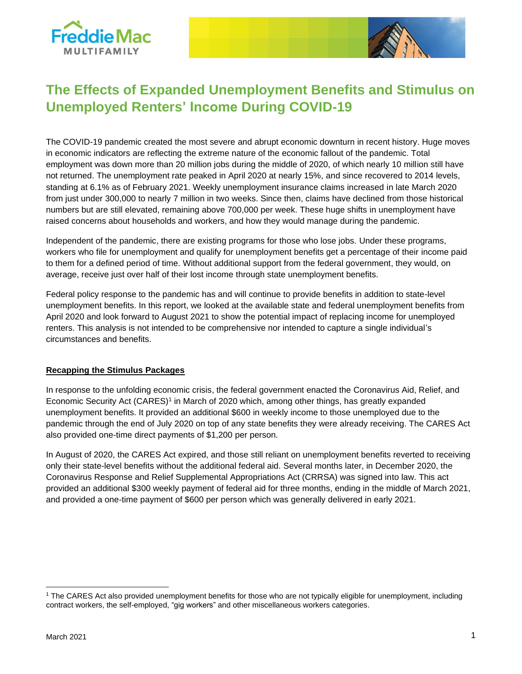



# **The Effects of Expanded Unemployment Benefits and Stimulus on Unemployed Renters' Income During COVID-19**

The COVID-19 pandemic created the most severe and abrupt economic downturn in recent history. Huge moves in economic indicators are reflecting the extreme nature of the economic fallout of the pandemic. Total employment was down more than 20 million jobs during the middle of 2020, of which nearly 10 million still have not returned. The unemployment rate peaked in April 2020 at nearly 15%, and since recovered to 2014 levels, standing at 6.1% as of February 2021. Weekly unemployment insurance claims increased in late March 2020 from just under 300,000 to nearly 7 million in two weeks. Since then, claims have declined from those historical numbers but are still elevated, remaining above 700,000 per week. These huge shifts in unemployment have raised concerns about households and workers, and how they would manage during the pandemic.

Independent of the pandemic, there are existing programs for those who lose jobs. Under these programs, workers who file for unemployment and qualify for unemployment benefits get a percentage of their income paid to them for a defined period of time. Without additional support from the federal government, they would, on average, receive just over half of their lost income through state unemployment benefits.

Federal policy response to the pandemic has and will continue to provide benefits in addition to state-level unemployment benefits. In this report, we looked at the available state and federal unemployment benefits from April 2020 and look forward to August 2021 to show the potential impact of replacing income for unemployed renters. This analysis is not intended to be comprehensive nor intended to capture a single individual's circumstances and benefits.

### **Recapping the Stimulus Packages**

In response to the unfolding economic crisis, the federal government enacted the Coronavirus Aid, Relief, and Economic Security Act (CARES) 1 in March of 2020 which, among other things, has greatly expanded unemployment benefits. It provided an additional \$600 in weekly income to those unemployed due to the pandemic through the end of July 2020 on top of any state benefits they were already receiving. The CARES Act also provided one-time direct payments of \$1,200 per person.

In August of 2020, the CARES Act expired, and those still reliant on unemployment benefits reverted to receiving only their state-level benefits without the additional federal aid. Several months later, in December 2020, the Coronavirus Response and Relief Supplemental Appropriations Act (CRRSA) was signed into law. This act provided an additional \$300 weekly payment of federal aid for three months, ending in the middle of March 2021, and provided a one-time payment of \$600 per person which was generally delivered in early 2021.

<sup>1</sup> The CARES Act also provided unemployment benefits for those who are not typically eligible for unemployment, including contract workers, the self-employed, "gig workers" and other miscellaneous workers categories.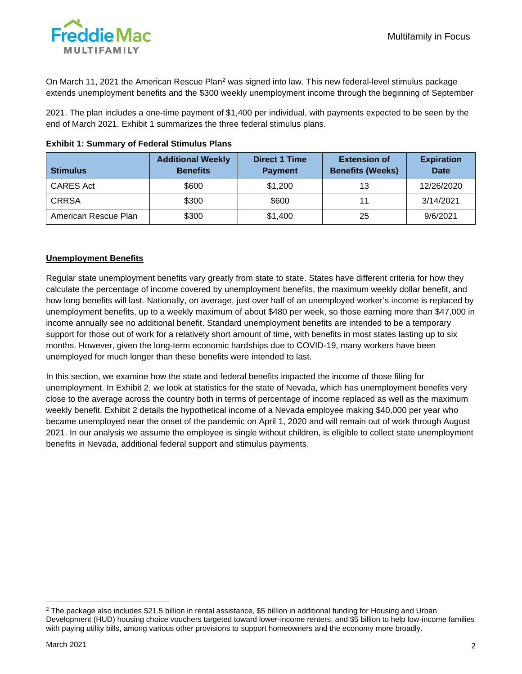

On March 11, 2021 the American Rescue Plan<sup>2</sup> was signed into law. This new federal-level stimulus package extends unemployment benefits and the \$300 weekly unemployment income through the beginning of September

2021. The plan includes a one-time payment of \$1,400 per individual, with payments expected to be seen by the end of March 2021. Exhibit 1 summarizes the three federal stimulus plans.

| <b>Stimulus</b>      | <b>Additional Weekly</b><br><b>Benefits</b> | <b>Direct 1 Time</b><br><b>Payment</b> | <b>Extension of</b><br><b>Benefits (Weeks)</b> | <b>Expiration</b><br><b>Date</b> |
|----------------------|---------------------------------------------|----------------------------------------|------------------------------------------------|----------------------------------|
| <b>CARES Act</b>     | \$600                                       | \$1,200                                | 13                                             | 12/26/2020                       |
| <b>CRRSA</b>         | \$300                                       | \$600                                  | 11                                             | 3/14/2021                        |
| American Rescue Plan | \$300                                       | \$1,400                                | 25                                             | 9/6/2021                         |

#### **Exhibit 1: Summary of Federal Stimulus Plans**

### **Unemployment Benefits**

Regular state unemployment benefits vary greatly from state to state. States have different criteria for how they calculate the percentage of income covered by unemployment benefits, the maximum weekly dollar benefit, and how long benefits will last. Nationally, on average, just over half of an unemployed worker's income is replaced by unemployment benefits, up to a weekly maximum of about \$480 per week, so those earning more than \$47,000 in income annually see no additional benefit. Standard unemployment benefits are intended to be a temporary support for those out of work for a relatively short amount of time, with benefits in most states lasting up to six months. However, given the long-term economic hardships due to COVID-19, many workers have been unemployed for much longer than these benefits were intended to last.

In this section, we examine how the state and federal benefits impacted the income of those filing for unemployment. In Exhibit 2, we look at statistics for the state of Nevada, which has unemployment benefits very close to the average across the country both in terms of percentage of income replaced as well as the maximum weekly benefit. Exhibit 2 details the hypothetical income of a Nevada employee making \$40,000 per year who became unemployed near the onset of the pandemic on April 1, 2020 and will remain out of work through August 2021. In our analysis we assume the employee is single without children, is eligible to collect state unemployment benefits in Nevada, additional federal support and stimulus payments.

 $2$  The package also includes \$21.5 billion in rental assistance, \$5 billion in additional funding for Housing and Urban Development (HUD) housing choice vouchers targeted toward lower-income renters, and \$5 billion to help low-income families with paying utility bills, among various other provisions to support homeowners and the economy more broadly.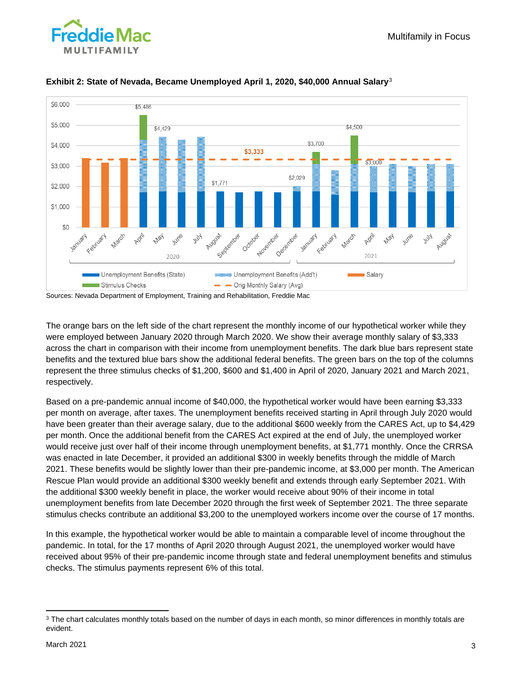



## **Exhibit 2: State of Nevada, Became Unemployed April 1, 2020, \$40,000 Annual Salary**<sup>3</sup>

Sources: Nevada Department of Employment, Training and Rehabilitation, Freddie Mac

The orange bars on the left side of the chart represent the monthly income of our hypothetical worker while they were employed between January 2020 through March 2020. We show their average monthly salary of \$3,333 across the chart in comparison with their income from unemployment benefits. The dark blue bars represent state benefits and the textured blue bars show the additional federal benefits. The green bars on the top of the columns represent the three stimulus checks of \$1,200, \$600 and \$1,400 in April of 2020, January 2021 and March 2021, respectively.

Based on a pre-pandemic annual income of \$40,000, the hypothetical worker would have been earning \$3,333 per month on average, after taxes. The unemployment benefits received starting in April through July 2020 would have been greater than their average salary, due to the additional \$600 weekly from the CARES Act, up to \$4,429 per month. Once the additional benefit from the CARES Act expired at the end of July, the unemployed worker would receive just over half of their income through unemployment benefits, at \$1,771 monthly. Once the CRRSA was enacted in late December, it provided an additional \$300 in weekly benefits through the middle of March 2021. These benefits would be slightly lower than their pre-pandemic income, at \$3,000 per month. The American Rescue Plan would provide an additional \$300 weekly benefit and extends through early September 2021. With the additional \$300 weekly benefit in place, the worker would receive about 90% of their income in total unemployment benefits from late December 2020 through the first week of September 2021. The three separate stimulus checks contribute an additional \$3,200 to the unemployed workers income over the course of 17 months.

In this example, the hypothetical worker would be able to maintain a comparable level of income throughout the pandemic. In total, for the 17 months of April 2020 through August 2021, the unemployed worker would have received about 95% of their pre-pandemic income through state and federal unemployment benefits and stimulus checks. The stimulus payments represent 6% of this total.

<sup>&</sup>lt;sup>3</sup> The chart calculates monthly totals based on the number of days in each month, so minor differences in monthly totals are evident.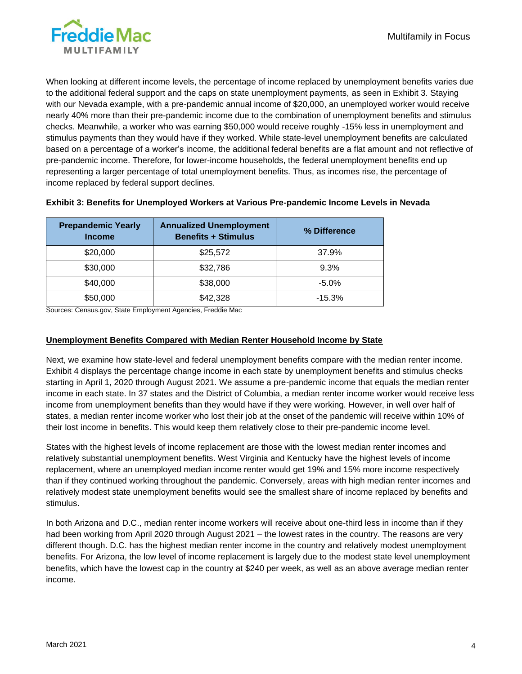

When looking at different income levels, the percentage of income replaced by unemployment benefits varies due to the additional federal support and the caps on state unemployment payments, as seen in Exhibit 3. Staying with our Nevada example, with a pre-pandemic annual income of \$20,000, an unemployed worker would receive nearly 40% more than their pre-pandemic income due to the combination of unemployment benefits and stimulus checks. Meanwhile, a worker who was earning \$50,000 would receive roughly -15% less in unemployment and stimulus payments than they would have if they worked. While state-level unemployment benefits are calculated based on a percentage of a worker's income, the additional federal benefits are a flat amount and not reflective of pre-pandemic income. Therefore, for lower-income households, the federal unemployment benefits end up representing a larger percentage of total unemployment benefits. Thus, as incomes rise, the percentage of income replaced by federal support declines.

| <b>Prepandemic Yearly</b><br><b>Income</b> | <b>Annualized Unemployment</b><br><b>Benefits + Stimulus</b> | % Difference |
|--------------------------------------------|--------------------------------------------------------------|--------------|
| \$20,000                                   | \$25,572                                                     | 37.9%        |
| \$30,000                                   | \$32,786                                                     | 9.3%         |
| \$40,000                                   | \$38,000                                                     | $-5.0\%$     |
| \$50,000                                   | \$42,328                                                     | $-15.3\%$    |

#### **Exhibit 3: Benefits for Unemployed Workers at Various Pre-pandemic Income Levels in Nevada**

Sources: Census.gov, State Employment Agencies, Freddie Mac

### **Unemployment Benefits Compared with Median Renter Household Income by State**

Next, we examine how state-level and federal unemployment benefits compare with the median renter income. Exhibit 4 displays the percentage change income in each state by unemployment benefits and stimulus checks starting in April 1, 2020 through August 2021. We assume a pre-pandemic income that equals the median renter income in each state. In 37 states and the District of Columbia, a median renter income worker would receive less income from unemployment benefits than they would have if they were working. However, in well over half of states, a median renter income worker who lost their job at the onset of the pandemic will receive within 10% of their lost income in benefits. This would keep them relatively close to their pre-pandemic income level.

States with the highest levels of income replacement are those with the lowest median renter incomes and relatively substantial unemployment benefits. West Virginia and Kentucky have the highest levels of income replacement, where an unemployed median income renter would get 19% and 15% more income respectively than if they continued working throughout the pandemic. Conversely, areas with high median renter incomes and relatively modest state unemployment benefits would see the smallest share of income replaced by benefits and stimulus.

In both Arizona and D.C., median renter income workers will receive about one-third less in income than if they had been working from April 2020 through August 2021 – the lowest rates in the country. The reasons are very different though. D.C. has the highest median renter income in the country and relatively modest unemployment benefits. For Arizona, the low level of income replacement is largely due to the modest state level unemployment benefits, which have the lowest cap in the country at \$240 per week, as well as an above average median renter income.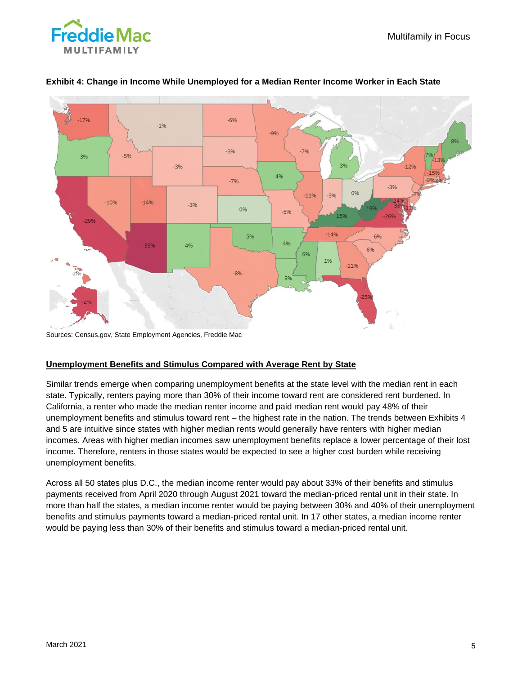



## **Exhibit 4: Change in Income While Unemployed for a Median Renter Income Worker in Each State**

Sources: Census.gov, State Employment Agencies, Freddie Mac

## **Unemployment Benefits and Stimulus Compared with Average Rent by State**

Similar trends emerge when comparing unemployment benefits at the state level with the median rent in each state. Typically, renters paying more than 30% of their income toward rent are considered rent burdened. In California, a renter who made the median renter income and paid median rent would pay 48% of their unemployment benefits and stimulus toward rent – the highest rate in the nation. The trends between Exhibits 4 and 5 are intuitive since states with higher median rents would generally have renters with higher median incomes. Areas with higher median incomes saw unemployment benefits replace a lower percentage of their lost income. Therefore, renters in those states would be expected to see a higher cost burden while receiving unemployment benefits.

Across all 50 states plus D.C., the median income renter would pay about 33% of their benefits and stimulus payments received from April 2020 through August 2021 toward the median-priced rental unit in their state. In more than half the states, a median income renter would be paying between 30% and 40% of their unemployment benefits and stimulus payments toward a median-priced rental unit. In 17 other states, a median income renter would be paying less than 30% of their benefits and stimulus toward a median-priced rental unit.